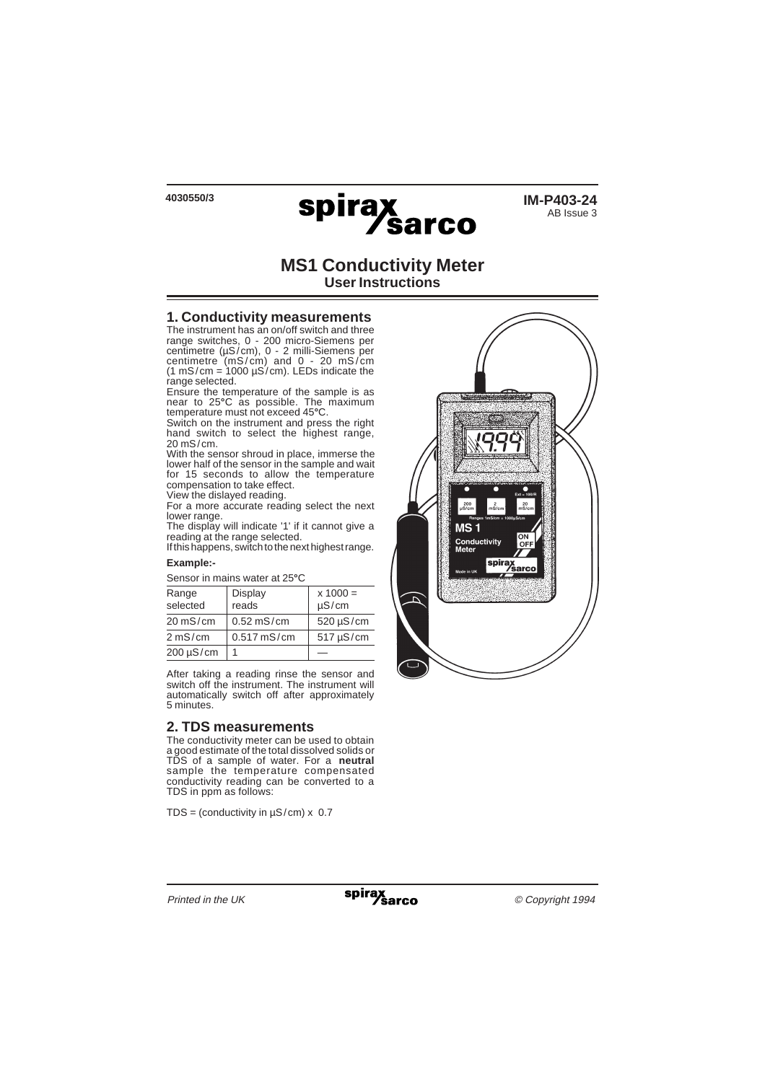

# **MS1 Conductivity Meter User Instructions**

### **1. Conductivity measurements**

The instrument has an on/off switch and three range switches, 0 - 200 micro-Siemens per centimetre (µS/cm), 0 - 2 milli-Siemens per centimetre (mS/cm) and 0 - 20 mS/cm  $(1 \text{ mS/cm} = 1000 \text{ µS/cm})$ . LEDs indicate the range selected.

Ensure the temperature of the sample is as near to 25**°**C as possible. The maximum temperature must not exceed 45**°**C.

Switch on the instrument and press the right hand switch to select the highest range. 20 mS/cm.

With the sensor shroud in place, immerse the lower half of the sensor in the sample and wait for 15 seconds to allow the temperature compensation to take effect.

View the dislayed reading.

For a more accurate reading select the next lower range.

The display will indicate '1' if it cannot give a reading at the range selected.

If this happens, switch to the next highest range.

#### **Example:-**

| OCISUL III III QII IS WALCI AL ZJ U |               |                |  |  |  |  |
|-------------------------------------|---------------|----------------|--|--|--|--|
| Range                               | Display       | $x 1000 =$     |  |  |  |  |
| selected                            | reads         | $\mu S/cm$     |  |  |  |  |
| $20 \text{ mS/cm}$                  | $0.52$ mS/cm  | $520 \mu S/cm$ |  |  |  |  |
| 2 mS/cm                             | $0.517$ mS/cm | $517 \mu S/cm$ |  |  |  |  |
| $200 \mu S/cm$                      |               |                |  |  |  |  |

Sensor in mains water at 25**°**C

After taking a reading rinse the sensor and switch off the instrument. The instrument will automatically switch off after approximately 5 minutes.

## **2. TDS measurements**

The conductivity meter can be used to obtain a good estimate of the total dissolved solids or TDS of a sample of water. For a **neutral** sample the temperature compensated conductivity reading can be converted to a TDS in ppm as follows:

TDS = (conductivity in  $\mu$ S/cm) x 0.7

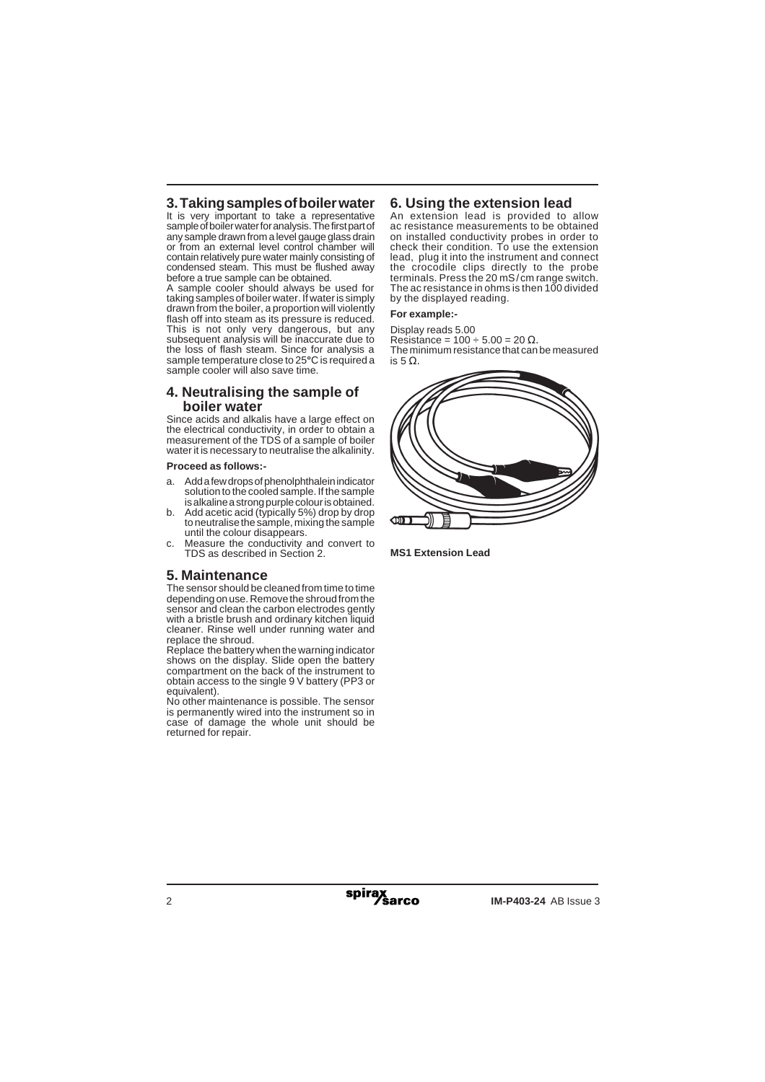# **3. Taking samples of boiler water**

It is very important to take a representative sample of boiler water for analysis. The first part of any sample drawn from a level gauge glass drain or from an external level control chamber will contain relatively pure water mainly consisting of condensed steam. This must be flushed away before a true sample can be obtained.

A sample cooler should always be used for taking samples of boiler water. If water is simply drawn from the boiler, a proportion will violently flash off into steam as its pressure is reduced. This is not only very dangerous, but any subsequent analysis will be inaccurate due to the loss of flash steam. Since for analysis a sample temperature close to 25**°**C is required a sample cooler will also save time.

## **4. Neutralising the sample of boiler water**

Since acids and alkalis have a large effect on the electrical conductivity, in order to obtain a measurement of the TDS of a sample of boiler water it is necessary to neutralise the alkalinity.

### **Proceed as follows:-**

- a. Add a few drops of phenolphthalein indicator solution to the cooled sample. If the sample is alkaline a strong purple colour is obtained.
- b. Add acetic acid (typically 5%) drop by drop to neutralise the sample, mixing the sample until the colour disappears.
- c. Measure the conductivity and convert to TDS as described in Section 2.

## **5. Maintenance**

The sensor should be cleaned from time to time depending on use. Remove the shroud from the sensor and clean the carbon electrodes gently with a bristle brush and ordinary kitchen liquid cleaner. Rinse well under running water and replace the shroud.

Replace the battery when the warning indicator shows on the display. Slide open the battery compartment on the back of the instrument to obtain access to the single 9 V battery (PP3 or equivalent).

No other maintenance is possible. The sensor is permanently wired into the instrument so in case of damage the whole unit should be returned for repair.

## **6. Using the extension lead**

An extension lead is provided to allow ac resistance measurements to be obtained on installed conductivity probes in order to check their condition. To use the extension lead, plug it into the instrument and connect the crocodile clips directly to the probe terminals. Press the 20 mS/cm range switch. The ac resistance in ohms is then 100 divided by the displayed reading.

### **For example:-**

Display reads 5.00 Resistance =  $100 \div 5.00 = 20 \Omega$ . The minimum resistance that can be measured is 5 Ω.



**MS1 Extension Lead**

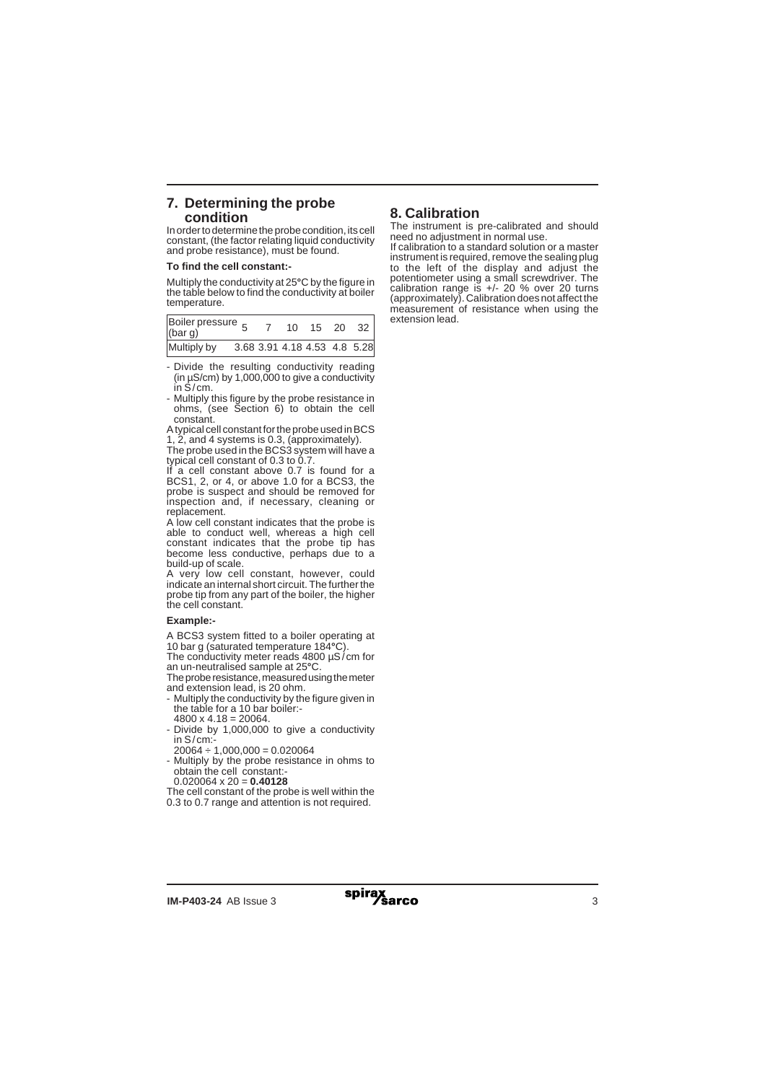## **7. Determining the probe condition**

In order to determine the probe condition, its cell constant, (the factor relating liquid conductivity and probe resistance), must be found.

### **To find the cell constant:-**

Multiply the conductivity at 25**°**C by the figure in the table below to find the conductivity at boiler temperature.

| Boiler pressure 5<br>(bar g) |  | 10 | 15                           | $\cdot$ 20 $\cdot$ | 32 |
|------------------------------|--|----|------------------------------|--------------------|----|
| Multiply by                  |  |    | 3.68 3.91 4.18 4.53 4.8 5.28 |                    |    |

- Divide the resulting conductivity reading (in  $\mu$ S/cm) by 1,000,000 to give a conductivity in S/cm.
- Multiply this figure by the probe resistance in ohms, (see Section 6) to obtain the cell constant.

A typical cell constant for the probe used in BCS 1, 2, and 4 systems is 0.3, (approximately).

The probe used in the BCS3 system will have a typical cell constant of 0.3 to 0.7.

If a cell constant above  $0.7$  is found for a BCS1, 2, or 4, or above 1.0 for a BCS3, the probe is suspect and should be removed for inspection and, if necessary, cleaning or replacement.

A low cell constant indicates that the probe is able to conduct well, whereas a high cell constant indicates that the probe tip has become less conductive, perhaps due to a build-up of scale.

A very low cell constant, however, could indicate an internal short circuit. The further the probe tip from any part of the boiler, the higher the cell constant.

### **Example:-**

A BCS3 system fitted to a boiler operating at 10 bar g (saturated temperature 184**°**C).

The conductivity meter reads 4800 µS/cm for an un-neutralised sample at 25**°**C.

The probe resistance, measured using the meter and extension lead, is 20 ohm.

- Multiply the conductivity by the figure given in the table for a 10 bar boiler:-  $4800 \times 4.18 = 20064.$
- Divide by 1,000,000 to give a conductivity in S/cm:-
- $20064 \div 1,000,000 = 0.020064$

- Multiply by the probe resistance in ohms to obtain the cell constant:-

0.020064 x 20 = **0.40128**

The cell constant of the probe is well within the 0.3 to 0.7 range and attention is not required.

# **8. Calibration**

The instrument is pre-calibrated and should need no adjustment in normal use.

If calibration to a standard solution or a master instrument is required, remove the sealing plug to the left of the display and adjust the potentiometer using a small screwdriver. The calibration range is  $+/- 20$  % over 20 turns (approximately). Calibration does not affect the measurement of resistance when using the extension lead.